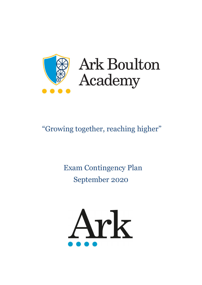

# **Ark Boulton** Academy

# "Growing together, reaching higher"

# Exam Contingency Plan September 2020

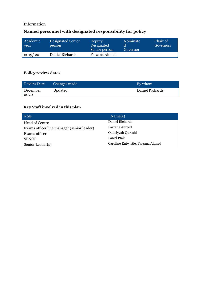# Information

# **Named personnel with designated responsibility for policy**

| Academic<br>vear | <b>Designated Senior</b><br>person | Deputy<br>Designated<br>Senior person | Nominate<br>Governor | Chair of<br>Governors |
|------------------|------------------------------------|---------------------------------------|----------------------|-----------------------|
| 2019/20          | Daniel Richards                    | Farzana Ahmed                         |                      |                       |

# **Policy review dates**

| <b>Review Date</b> | Changes made | By whom         |
|--------------------|--------------|-----------------|
| December           | Updated      | Daniel Richards |
| 2020               |              |                 |

# **Key Staff involved in this plan**

| Role                                       | Name(s)                           |
|--------------------------------------------|-----------------------------------|
| Head of Centre                             | Daniel Richards                   |
| Exams officer line manager (senior leader) | Farzana Ahmed                     |
| Exams officer                              | Qudsiyyah Qureshi                 |
| <b>SENCO</b>                               | Pawel Ptak                        |
| Senior Leader(s)                           | Caroline Entwistle, Farzana Ahmed |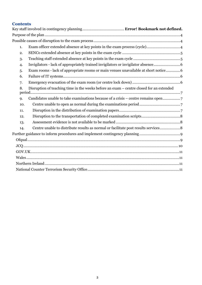# **Contents**

| 1.  |                                                                                         |  |
|-----|-----------------------------------------------------------------------------------------|--|
| 2.  |                                                                                         |  |
| 3.  |                                                                                         |  |
| 4.  | Invigilators - lack of appropriately trained invigilators or invigilator absence        |  |
| 5.  | Exam rooms - lack of appropriate rooms or main venues unavailable at short notice6      |  |
| 6.  |                                                                                         |  |
| 7.  |                                                                                         |  |
| 8.  | Disruption of teaching time in the weeks before an exam - centre closed for an extended |  |
| 9.  | Candidates unable to take examinations because of a crisis - centre remains open7       |  |
| 10. |                                                                                         |  |
| 11. |                                                                                         |  |
| 12. |                                                                                         |  |
| 13. |                                                                                         |  |
| 14. | Centre unable to distribute results as normal or facilitate post results services 8     |  |
|     |                                                                                         |  |
|     |                                                                                         |  |
|     |                                                                                         |  |
|     |                                                                                         |  |
|     |                                                                                         |  |
|     |                                                                                         |  |
|     |                                                                                         |  |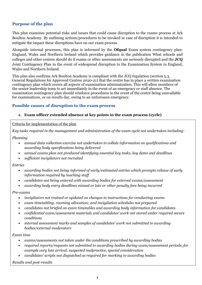# <span id="page-3-0"></span>**Purpose of the plan**

This plan examines potential risks and issues that could cause disruption to the exams process at Ark Boulton Academy. By outlining actions/procedures to be invoked in case of disruption it is intended to mitigate the impact these disruptions have on our exam process.

Alongside internal processes, this plan is informed by the **Ofqual** Exam system contingency plan: England, Wales and Northern Ireland which provides guidance in the publication What schools and colleges and other centres should do if exams or other assessments are seriously disrupted and the **JCQ** Joint Contingency Plan in the event of widespread disruption to the Examination System in England, Wales and Northern Ireland*.*

This plan also confirms Ark Boulton Academy is compliant with the JCQ regulation (section 5.3, General Regulations for Approved Centres 2020-21) that the centre has in place a written examination contingency plan which covers all aspects of examination administration. This will allow members of the senior leadership team to act immediately in the event of an emergency or staff absence. The examination contingency plan should reinforce procedures in the event of the centre being unavailable for examinations, or on results day, owing to an unforeseen emergency.

### <span id="page-3-1"></span>**Possible causes of disruption to the exam process**

#### <span id="page-3-2"></span>**1. Exam officer extended absence at key points in the exam process (cycle)**

#### Criteria for implementation of the plan

*Key tasks required in the management and administration of the exam cycle not undertaken including:*

*Planning*

- *annual data collection exercise not undertaken to collate information on qualifications and awarding body specifications being delivered*
- *annual exams plan not produced identifying essential key tasks, key dates and deadlines*
- *sufficient invigilators not recruited*

*Entries*

- *awarding bodies not being informed of early/estimated entries which prompts release of early information required by teaching staff*
- *candidates not being entered with awarding bodies for external exams/assessment*
- *awarding body entry deadlines missed or late or other penalty fees being incurred*

*Pre-exams*

- *invigilators not trained or updated on changes to instructions for conducting exams*
- *exam timetabling, rooming allocation; and invigilation schedules not prepared*
- *candidates not briefed on exam timetables and awarding body information for candidates*
- *confidential exam/assessment materials and candidates' work not stored under required secure conditions*
- *internal assessment marks and samples of candidates' work not submitted to awarding bodies/external moderators*

*Exam time*

- *exams/assessments not taken under the conditions prescribed by awarding bodies*
- *required reports/requests not submitted to awarding bodies during exam/assessment periods, for example very late arrival, suspected malpractice, special consideration*
- *candidates' scripts not dispatched as required for marking to awarding bodies*

*Results and post-results*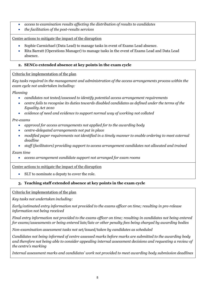- *access to examination results affecting the distribution of results to candidates*
- *the facilitation of the post-results services*

Centre actions to mitigate the impact of the disruption

- Sophie Carmichael (Data Lead) to manage tasks in event of Exams Lead absence.
- Rita Barratt (Operations Manager) to manage tasks in the event of Exams Lead and Data Lead absence.

## <span id="page-4-0"></span>**2. SENCo extended absence at key points in the exam cycle**

#### Criteria for implementation of the plan

*Key tasks required in the management and administration of the access arrangements process within the exam cycle not undertaken including:*

*Planning*

- *candidates not tested/assessed to identify potential access arrangement requirements*
- *centre fails to recognise its duties towards disabled candidates as defined under the terms of the Equality Act 2010*
- *evidence of need and evidence to support normal way of working not collated*

*Pre-exams*

- *approval for access arrangements not applied for to the awarding body*
- *centre-delegated arrangements not put in place*
- *modified paper requirements not identified in a timely manner to enable ordering to meet external deadline*
- *staff (facilitators) providing support to access arrangement candidates not allocated and trained*

*Exam time*

• *access arrangement candidate support not arranged for exam rooms*

Centre actions to mitigate the impact of the disruption

• SLT to nominate a deputy to cover the role.

# <span id="page-4-1"></span>**3. Teaching staff extended absence at key points in the exam cycle**

Criteria for implementation of the plan

*Key tasks not undertaken including:*

*Early/estimated entry information not provided to the exams officer on time; resulting in pre-release information not being received*

*Final entry information not provided to the exams officer on time; resulting in candidates not being entered for exams/assessments or being entered late/late or other penalty fees being charged by awarding bodies*

*Non-examination assessment tasks not set/issued/taken by candidates as scheduled*

*Candidates not being informed of centre assessed marks before marks are submitted to the awarding body and therefore not being able to consider appealing internal assessment decisions and requesting a review of the centre's marking*

*Internal assessment marks and candidates' work not provided to meet awarding body submission deadlines*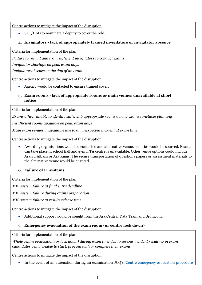Centre actions to mitigate the impact of the disruption

• SLT/HoD to nominate a deputy to cover the role.

## <span id="page-5-0"></span>**4. Invigilators - lack of appropriately trained invigilators or invigilator absence**

Criteria for implementation of the plan

*Failure to recruit and train sufficient invigilators to conduct exams*

*Invigilator shortage on peak exam days*

*Invigilator absence on the day of an exam*

Centre actions to mitigate the impact of the disruption

Agency would be contacted to ensure trained cover.

#### <span id="page-5-1"></span>**5. Exam rooms - lack of appropriate rooms or main venues unavailable at short notice**

Criteria for implementation of the plan

*Exams officer unable to identify sufficient/appropriate rooms during exams timetable planning*

*Insufficient rooms available on peak exam days*

*Main exam venues unavailable due to an unexpected incident at exam time*

Centre actions to mitigate the impact of the disruption

• Awarding organisations would be contacted and alternative venue/facilities would be sourced. Exams can take place in school hall and gym if TA centre is unavailable. Other venue options could include Ark St. Albans or Ark Kings. The secure transportation of questions papers or assessment materials to the alternative venue would be ensured.

#### <span id="page-5-2"></span>**6. Failure of IT systems**

Criteria for implementation of the plan

*MIS system failure at final entry deadline*

*MIS system failure during exams preparation*

*MIS system failure at results release time*

Centre actions to mitigate the impact of the disruption

• Additional support would be sought from the Ark Central Data Team and Bromcom.

#### <span id="page-5-3"></span>**7. Emergency evacuation of the exam room (or centre lock down)**

Criteria for implementation of the plan

*Whole centre evacuation (or lock down) during exam time due to serious incident resulting in exam candidates being unable to start, proceed with or complete their exams*

Centre actions to mitigate the impact of the disruption

• In the event of an evacuation during an examination JCQ's 'Centre [emergency](https://www.jcq.org.uk/exams-office/ice---instructions-for-conducting-examinations/centre-emergency-evacuation-procedure) evacuation procedure'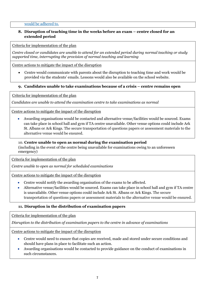#### would be adhered to.

#### <span id="page-6-0"></span>**8. Disruption of teaching time in the weeks before an exam – centre closed for an extended period**

Criteria for implementation of the plan

*Centre closed or candidates are unable to attend for an extended period during normal teaching or study supported time, interrupting the provision of normal teaching and learning*

Centre actions to mitigate the impact of the disruption

• Centre would communicate with parents about the disruption to teaching time and work would be provided via the students' emails. Lessons would also be available on the school website.

#### <span id="page-6-1"></span>**9. Candidates unable to take examinations because of a crisis – centre remains open**

Criteria for implementation of the plan

*Candidates are unable to attend the examination centre to take examinations as normal*

Centre actions to mitigate the impact of the disruption

• Awarding organisations would be contacted and alternative venue/facilities would be sourced. Exams can take place in school hall and gym if TA centre unavailable. Other venue options could include Ark St. Albans or Ark Kings. The secure transportation of questions papers or assessment materials to the alternative venue would be ensured.

#### <span id="page-6-2"></span>10. **Centre unable to open as normal during the examination period**

(including in the event of the centre being unavailable for examinations owing to an unforeseen emergency)

Criteria for implementation of the plan

*Centre unable to open as normal for scheduled examinations* 

Centre actions to mitigate the impact of the disruption

- Centre would notify the awarding organisation of the exams to be affected.
- Alternative venue/facilities would be sourced. Exams can take place in school hall and gym if TA centre is unavailable. Other venue options could include Ark St. Albans or Ark Kings. The secure transportation of questions papers or assessment materials to the alternative venue would be ensured.

#### <span id="page-6-3"></span>**11. Disruption in the distribution of examination papers**

Criteria for implementation of the plan

*Disruption to the distribution of examination papers to the centre in advance of examinations*

Centre actions to mitigate the impact of the disruption

- Centre would need to ensure that copies are received, made and stored under secure conditions and should have plans in place to facilitate such an action.
- Awarding organisations would be contacted to provide guidance on the conduct of examinations in such circumstances.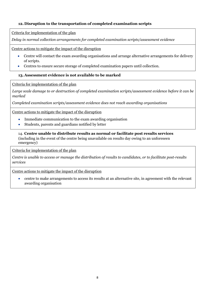# <span id="page-7-0"></span>**12. Disruption to the transportation of completed examination scripts**

Criteria for implementation of the plan

*Delay in normal collection arrangements for completed examination scripts/assessment evidence*

Centre actions to mitigate the impact of the disruption

- Centre will contact the exam awarding organisations and arrange alternative arrangements for delivery of scripts.
- Centres to ensure secure storage of completed examination papers until collection.

### <span id="page-7-1"></span>**13. Assessment evidence is not available to be marked**

Criteria for implementation of the plan

*Large scale damage to or destruction of completed examination scripts/assessment evidence before it can be marked*

*Completed examination scripts/assessment evidence does not reach awarding organisations* 

Centre actions to mitigate the impact of the disruption

- Immediate communication to the exam awarding organisation
- Students, parents and guardians notified by letter

<span id="page-7-2"></span>14. **Centre unable to distribute results as normal or facilitate post results services** (including in the event of the centre being unavailable on results day owing to an unforeseen emergency)

Criteria for implementation of the plan

*Centre is unable to access or manage the distribution of results to candidates, or to facilitate post-results services*

Centre actions to mitigate the impact of the disruption

• centre to make arrangements to access its results at an alternative site, in agreement with the relevant awarding organisation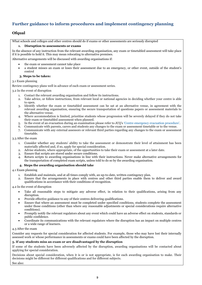# <span id="page-8-0"></span>**Further guidance to inform procedures and implement contingency planning**

#### <span id="page-8-1"></span>**Ofqual**

What schools and colleges and other centres should do if exams or other assessments are seriously disrupted

#### **1. Disruption to assessments or exams**

In the absence of any instruction from the relevant awarding organisation, any exam or timetabled assessment will take place if it is possible to hold it. This may mean relocating to alternative premises.

Alternative arrangements will be discussed with awarding organisations if:

- the exam or assessment cannot take place
- a student misses an exam or loses their assessment due to an emergency, or other event, outside of the student's control

#### **3. Steps to be taken:**

3.1 Exam planning

Review contingency plans well in advance of each exam or assessment series.

3.2 In the event of disruption

- 1. Contact the relevant awarding organisation and follow its instructions.
- 2. Take advice, or follow instructions, from relevant local or national agencies in deciding whether your centre is able to open.
- 3. Identify whether the exam or timetabled assessment can be sat at an alternative venue, in agreement with the relevant awarding organisation, ensuring the secure transportation of questions papers or assessment materials to the alternative venue.
- 4. Where accommodation is limited, prioritise students whose progression will be severely delayed if they do not take their exam or timetabled assessment when planned.
- 5. In the event of an evacuation during an examination please refer to JCQ's 'Centre emergency evacuation [procedure'.](https://www.jcq.org.uk/exams-office/ice---instructions-for-conducting-examinations/centre-emergency-evacuation-procedure)
- 6. Communicate with parents, carers and students any changes to the exam or assessment timetable or to the venue.
- 7. Communicate with any external assessors or relevant third parties regarding any changes to the exam or assessment timetable.

3.3 After the exam

- 1. Consider whether any students' ability to take the assessment or demonstrate their level of attainment has been materially affected and, if so, apply for special consideration.
- 2. Advise students, where appropriate, of the opportunities to take their exam or assessment at a later date.
- 3. Ensure that scripts are stored under secure conditions.
- 4. Return scripts to awarding organisations in line with their instructions. Never make alternative arrangements for the transportation of completed exam scripts, unless told to do so by the awarding organisation.

#### **4. Steps the awarding organisation should take**

4.1 Exam planning

- 1. Establish and maintain, and at all times comply with, an up-to-date, written contingency plan.
- 2. Ensure that the arrangements in place with centres and other third parties enable them to deliver and award qualifications in accordance with their conditions of recognition.

4.2 In the event of disruption

- Take all reasonable steps to mitigate any adverse effect, in relation to their qualifications, arising from any disruption.
- Provide effective guidance to any of their centres delivering qualifications.
- Ensure that where an assessment must be completed under specified conditions, students complete the assessment under those conditions (other than where any reasonable adjustments or special considerations require alternative conditions).
- Promptly notify the relevant regulators about any event which could have an adverse effect on students, standards or public confidence.
- Coordinate its communications with the relevant regulators where the disruption has an impact on multiple centres or a wide range of learners.

#### 4.3 After the exam

Consider any requests for special consideration for affected students. For example, those who may have lost their internally assessed work or whose performance in assessments or exams could have been affected by the disruption.

#### **5. If any students miss an exam or are disadvantaged by the disruption**

If some of the students have been adversely affected by the disruption, awarding organisations will be contacted about applying for special consideration.

Decisions about special consideration, when it is or is not appropriate, is for each awarding organisation to make. Their decisions might be different for different qualifications and for different subjects.

See also: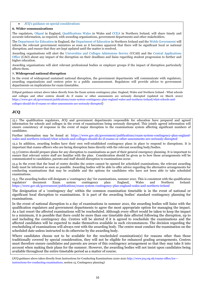#### • JCQ's guidance on special [considerations](https://www.jcq.org.uk/exams-office/access-arrangements-and-special-consideration/regulations-and-guidance)

#### **6. Wider communications**

The regulators, [Ofqual](https://www.gov.uk/ofqual) in England, [Qualifications](http://qualificationswales.org/) Wales in Wales and [CCEA](http://ccea.org.uk/) in Northern Ireland, will share timely and accurate information, as required, with awarding organisations, government departments and other stakeholders.

Th[e Department](https://www.gov.uk/government/organisations/department-for-education) for Education in England, the [Department](https://www.education-ni.gov.uk/) of Education in Northern Ireland and the Welsh [Government](http://gov.wales/topics/educationandskills/?lang=en) will inform the relevant government ministers as soon as it becomes apparent that there will be significant local or national disruption; and ensure that they are kept updated until the matter is resolved.

Awarding organisations will alert the [Universities](https://www.ucas.com/) and Colleges Admissions Service (UCAS) and the Central [Applications](http://www.cao.ie/) [Office](http://www.cao.ie/) (CAO) about any impact of the disruption on their deadlines and liaise regarding student progression to further and higher education.

Awarding organisations will alert relevant professional bodies or employer groups if the impact of disruption particularly affects them.

#### **7. Widespread national disruption**

In the event of widespread sustained national disruption, the government departments will communicate with regulators, awarding organisations and centres prior to a public announcement. Regulators will provide advice to government departments on implications for exam timetables.

(Ofqual guidance extract above taken directly from the Exam system contingency plan: England, Wales and Northern Ireland - What schools and colleges and other centres should do if exams or other assessments are seriously disrupted (updated 02 March 2020) [https://www.gov.uk/government/publications/exam-system-contingency-plan-england-wales-and-northern-ireland/what-schools-and](https://www.gov.uk/government/publications/exam-system-contingency-plan-england-wales-and-northern-ireland/what-schools-and-colleges-should-do-if-exams-or-other-assessments-are-seriously-disrupted)[colleges-should-do-if-exams-or-other-assessments-are-seriously-disrupted\)](https://www.gov.uk/government/publications/exam-system-contingency-plan-england-wales-and-northern-ireland/what-schools-and-colleges-should-do-if-exams-or-other-assessments-are-seriously-disrupted)

#### <span id="page-9-0"></span>**JCQ**

15.1 The qualification regulators, JCQ and government departments responsible for education have prepared and agreed information for schools and colleges in the event of examinations being seriously disrupted. This jointly agreed information will ensure consistency of response in the event of major disruption to the examinations system affecting significant numbers of candidates.

Further information may be found at: [https://www.gov.uk/government/publications/exam-system-contingency-plan-england](https://www.gov.uk/government/publications/exam-system-contingency-plan-england-wales-and-northern-ireland/what-schools-and-colleges-should-do-if-exams-or-other-assessments-are-seriously-disrupted)[wales-and-northern-ireland/what-schools-and-colleges-should-do-if-exams-or-other-assessments-are-seriously-disrupted](https://www.gov.uk/government/publications/exam-system-contingency-plan-england-wales-and-northern-ireland/what-schools-and-colleges-should-do-if-exams-or-other-assessments-are-seriously-disrupted)

15.2 In addition, awarding bodies have their own well-established contingency plans in place to respond to disruptions. It is important that exams officers who are facing disruption liaise directly with the relevant awarding body/bodies.

15.3 Centres should prepare plans for any disruption to examinations as part of their general emergency planning. It is important to ensure that relevant centre staff are familiar with the plan. Consideration should be given as to how these arrangements will be communicated to candidates, parents and staff should disruption to examinations occur.

15.4 In the event that the head of centre decides the centre cannot be opened for scheduled examinations, the relevant awarding body must be informed as soon as possible. Awarding bodies will be able to offer advice regarding the alternative arrangements for conducting examinations that may be available and the options for candidates who have not been able to take scheduled examinations.

15.5 The awarding bodies will designate a 'contingency day' for examinations, summer 2021. This is consistent with the qualification regulators' document Exam system contingency plan: England, Wales and Northern Ireland: <https://www.gov.uk/government/publications/exam-system-contingency-plan-england-wales-and-northern-ireland>

The designation of a 'contingency day' within the common examination timetable is in the event of national or significant local disruption to examinations. It is part of the awarding bodies' standard contingency planning for examinations.

In the event of national disruption to a day of examinations in summer 2021, the awarding bodies will liaise with the qualification regulators and government departments to agree the most appropriate option for managing the impact. As a last resort the affected examinations will be rescheduled. Although every effort would be taken to keep the impact to a minimum, it is possible that there could be more than one timetable date affected following the disruption, up to and including the contingency day. Centres will be alerted if it is agreed to reschedule the examinations and the affected candidates will be expected to make themselves available in such circumstances. The decision regarding the rescheduling of examinations will always rest with the awarding body. The centre must conduct the examination on the scheduled date unless instructed to do otherwise by the awarding body.

Where candidates choose not to be available for the rescheduled examination(s) for reasons other than those traditionally covered by special consideration, they will not be eligible for enhanced grading arrangements. Centres must therefore ensure candidates and parents are aware of this contingency arrangement so that they may take it into account when making their plans for the summer. However, the awarding bodies will not insist upon candidates being available throughout the entire timetable period as a matter of course.

(JCQ guidance above taken directly from Instructions for Conducting Examinations 2020-2021 [http://www.jcq.org.uk/exams-office/ice--](http://www.jcq.org.uk/exams-office/ice---instructions-for-conducting-examinations) [instructions-for-conducting-examinations,](http://www.jcq.org.uk/exams-office/ice---instructions-for-conducting-examinations) section 15, Contingency planning)